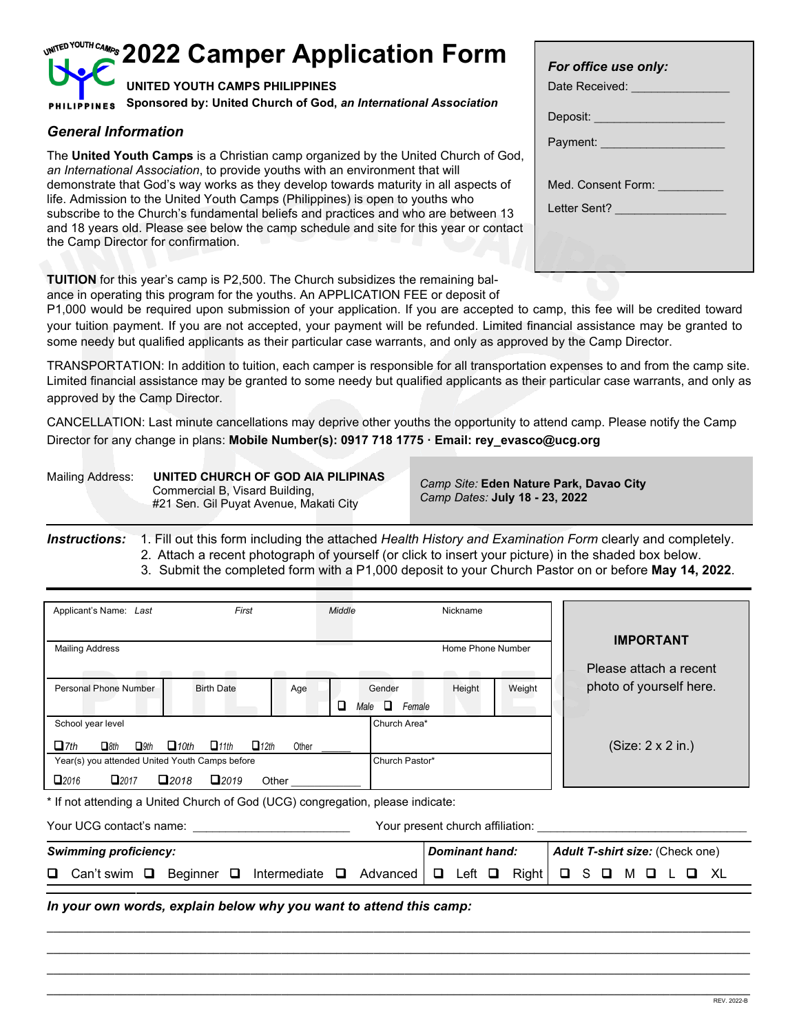## **2022 Camper Application Form UNITED YOUTH CAMPS PHILIPPINES Sponsored by: United Church of God,** *an International Association* **PHILIPPIN**

## *General Information*

The **United Youth Camps** is a Christian camp organized by the United Church of God, *an International Association*, to provide youths with an environment that will demonstrate that God's way works as they develop towards maturity in all aspects of life. Admission to the United Youth Camps (Philippines) is open to youths who subscribe to the Church's fundamental beliefs and practices and who are between 13 and 18 years old. Please see below the camp schedule and site for this year or contact the Camp Director for confirmation.

| For office use only:<br>Date Received: <b>We are all the Received:</b>       |  |
|------------------------------------------------------------------------------|--|
| Deposit: ___________________                                                 |  |
|                                                                              |  |
| Med. Consent Form: Ned. Consent Form:<br>Letter Sent? <u>_______________</u> |  |
|                                                                              |  |

**TUITION** for this year's camp is P2,500. The Church subsidizes the remaining balance in operating this program for the youths. An APPLICATION FEE or deposit of

P1,000 would be required upon submission of your application. If you are accepted to camp, this fee will be credited toward your tuition payment. If you are not accepted, your payment will be refunded. Limited financial assistance may be granted to some needy but qualified applicants as their particular case warrants, and only as approved by the Camp Director.

TRANSPORTATION: In addition to tuition, each camper is responsible for all transportation expenses to and from the camp site. Limited financial assistance may be granted to some needy but qualified applicants as their particular case warrants, and only as approved by the Camp Director.

CANCELLATION: Last minute cancellations may deprive other youths the opportunity to attend camp. Please notify the Camp Director for any change in plans: **Mobile Number(s): 0917 718 1775 · Email: rey\_evasco@ucg.org**

Mailing Address: **UNITED CHURCH OF GOD AIA PILIPINAS** Commercial B, Visard Building, #21 Sen. Gil Puyat Avenue, Makati City

 *Camp Site:* **Eden Nature Park, Davao City**  *Camp Dates:* **July 18 - 23, 2022**

*Instructions:* 1. Fill out this form including the attached *Health History and Examination Form* clearly and completely. 2. Attach a recent photograph of yourself (or click to insert your picture) in the shaded box below.

3. Submit the completed form with a P1,000 deposit to your Church Pastor on or before **May 14, 2022**.

| Applicant's Name: Last                                                         | First                                        | Middle         |                                 | Nickname                                               |        |                    |                                                                                                                  |    |
|--------------------------------------------------------------------------------|----------------------------------------------|----------------|---------------------------------|--------------------------------------------------------|--------|--------------------|------------------------------------------------------------------------------------------------------------------|----|
| <b>Mailing Address</b>                                                         | and the state of the state                   | <b>COLLEGE</b> |                                 | Home Phone Number<br><b>Contract Contract Contract</b> |        |                    | <b>IMPORTANT</b><br>Please attach a recent                                                                       |    |
| Personal Phone Number                                                          | <b>Birth Date</b>                            | Age<br>u       | Gender<br>$\Box$ Female<br>Male | Height                                                 | Weight |                    | photo of yourself here.                                                                                          |    |
| School year level<br>$\Box$ 7th<br>$\Box$ 9th<br>$\Box$ 8th                    | $\Box$ 12th<br>$-10th$<br>$\Box$ 11th        | Other          | Church Area*                    |                                                        |        |                    | $(Size: 2 \times 2 in.)$                                                                                         |    |
| Year(s) you attended United Youth Camps before<br>$\Box$ 2016                  | $\square$ 2017 $\square$ 2018 $\square$ 2019 |                | Church Pastor*                  |                                                        |        |                    |                                                                                                                  |    |
| * If not attending a United Church of God (UCG) congregation, please indicate: |                                              |                |                                 |                                                        |        |                    |                                                                                                                  |    |
|                                                                                |                                              |                |                                 |                                                        |        |                    | Your present church affiliation: Network and South Present and South Present and South Present and South Present |    |
| <b>Swimming proficiency:</b>                                                   |                                              |                |                                 | <b>Dominant hand:</b>                                  |        |                    | <b>Adult T-shirt size: (Check one)</b>                                                                           |    |
| Can't swim $\Box$                                                              | Beginner $\Box$ Intermediate $\Box$          |                | Advanced <b>I</b>               | $\Box$ Left $\Box$                                     | Right  | S.<br>O.<br>$\Box$ | M 0                                                                                                              | XL |
| In your own words, explain below why you want to attend this camp:             |                                              |                |                                 |                                                        |        |                    |                                                                                                                  |    |

**\_\_\_\_\_\_\_\_\_\_\_\_\_\_\_\_\_\_\_\_\_\_\_\_\_\_\_\_\_\_\_\_\_\_\_\_\_\_\_\_\_\_\_\_\_\_\_\_\_\_\_\_\_\_\_\_\_\_\_\_\_\_\_\_\_\_\_\_\_\_\_\_\_\_\_\_\_\_\_\_\_\_\_\_\_\_\_\_\_\_\_\_\_\_\_\_\_\_\_\_\_\_\_\_\_\_\_\_\_\_\_\_\_\_ \_\_\_\_\_\_\_\_\_\_\_\_\_\_\_\_\_\_\_\_\_\_\_\_\_\_\_\_\_\_\_\_\_\_\_\_\_\_\_\_\_\_\_\_\_\_\_\_\_\_\_\_\_\_\_\_\_\_\_\_\_\_\_\_\_\_\_\_\_\_\_\_\_\_\_\_\_\_\_\_\_\_\_\_\_\_\_\_\_\_\_\_\_\_\_\_\_\_\_\_\_\_\_\_\_\_\_\_\_\_\_\_\_\_**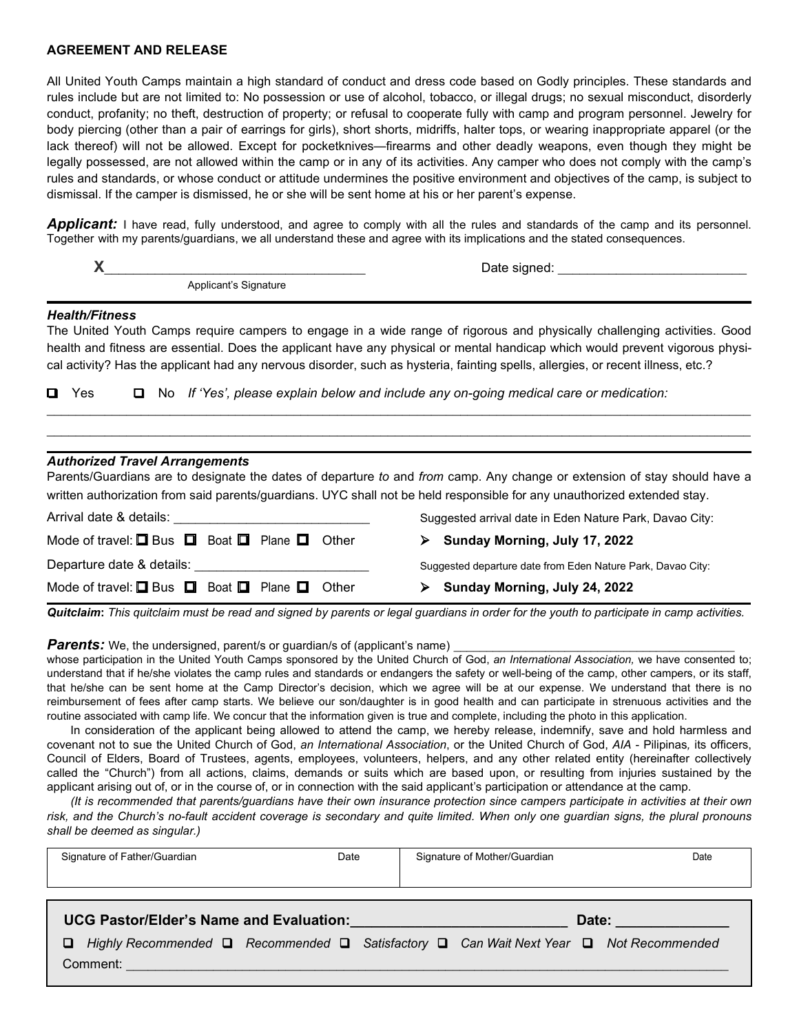#### **AGREEMENT AND RELEASE**

All United Youth Camps maintain a high standard of conduct and dress code based on Godly principles. These standards and rules include but are not limited to: No possession or use of alcohol, tobacco, or illegal drugs; no sexual misconduct, disorderly conduct, profanity; no theft, destruction of property; or refusal to cooperate fully with camp and program personnel. Jewelry for body piercing (other than a pair of earrings for girls), short shorts, midriffs, halter tops, or wearing inappropriate apparel (or the lack thereof) will not be allowed. Except for pocketknives—firearms and other deadly weapons, even though they might be legally possessed, are not allowed within the camp or in any of its activities. Any camper who does not comply with the camp's rules and standards, or whose conduct or attitude undermines the positive environment and objectives of the camp, is subject to dismissal. If the camper is dismissed, he or she will be sent home at his or her parent's expense.

**Applicant:** I have read, fully understood, and agree to comply with all the rules and standards of the camp and its personnel. Together with my parents/guardians, we all understand these and agree with its implications and the stated consequences.

| X.                                                                  | Date signed: the contract of the contract of the contract of the contract of the contract of the contract of the contract of the contract of the contract of the contract of the contract of the contract of the contract of t                                    |
|---------------------------------------------------------------------|-------------------------------------------------------------------------------------------------------------------------------------------------------------------------------------------------------------------------------------------------------------------|
| Applicant's Signature                                               |                                                                                                                                                                                                                                                                   |
| <b>Health/Fitness</b>                                               | The United Youth Camps require campers to engage in a wide range of rigorous and physically challenging activities. Good                                                                                                                                          |
|                                                                     | health and fitness are essential. Does the applicant have any physical or mental handicap which would prevent vigorous physi-<br>cal activity? Has the applicant had any nervous disorder, such as hysteria, fainting spells, allergies, or recent illness, etc.? |
| $\blacksquare$ Yes<br>0                                             | No If 'Yes', please explain below and include any on-going medical care or medication:                                                                                                                                                                            |
| <b>Authorized Travel Arrangements</b>                               |                                                                                                                                                                                                                                                                   |
|                                                                     | Parents/Guardians are to designate the dates of departure to and from camp. Any change or extension of stay should have a<br>written authorization from said parents/guardians. UYC shall not be held responsible for any unauthorized extended stay.             |
| Arrival date & details:                                             | Suggested arrival date in Eden Nature Park, Davao City:                                                                                                                                                                                                           |
| Mode of travel: $\Box$ Bus $\Box$ Boat $\Box$ Plane $\Box$<br>Other | $\triangleright$ Sunday Morning, July 17, 2022                                                                                                                                                                                                                    |
| Departure date & details:                                           | Suggested departure date from Eden Nature Park, Davao City:                                                                                                                                                                                                       |
| Mode of travel: $\Box$ Bus $\Box$ Boat $\Box$ Plane $\Box$<br>Other | Sunday Morning, July 24, 2022                                                                                                                                                                                                                                     |

*Quitclaim***:** *This quitclaim must be read and signed by parents or legal guardians in order for the youth to participate in camp activities.*

*Parents:* We, the undersigned, parent/s or guardian/s of (applicant's name)

whose participation in the United Youth Camps sponsored by the United Church of God, *an International Association,* we have consented to; understand that if he/she violates the camp rules and standards or endangers the safety or well-being of the camp, other campers, or its staff, that he/she can be sent home at the Camp Director's decision, which we agree will be at our expense. We understand that there is no reimbursement of fees after camp starts. We believe our son/daughter is in good health and can participate in strenuous activities and the routine associated with camp life. We concur that the information given is true and complete, including the photo in this application.

In consideration of the applicant being allowed to attend the camp, we hereby release, indemnify, save and hold harmless and covenant not to sue the United Church of God, *an International Association*, or the United Church of God, *AIA* - Pilipinas*,* its officers, Council of Elders, Board of Trustees, agents, employees, volunteers, helpers, and any other related entity (hereinafter collectively called the "Church") from all actions, claims, demands or suits which are based upon, or resulting from injuries sustained by the applicant arising out of, or in the course of, or in connection with the said applicant's participation or attendance at the camp.

*(It is recommended that parents/guardians have their own insurance protection since campers participate in activities at their own risk, and the Church's no-fault accident coverage is secondary and quite limited. When only one guardian signs, the plural pronouns shall be deemed as singular.)*

| Signature of Father/Guardian                                                                                   | Date | Signature of Mother/Guardian | Date                    |
|----------------------------------------------------------------------------------------------------------------|------|------------------------------|-------------------------|
|                                                                                                                |      |                              |                         |
| UCG Pastor/Elder's Name and Evaluation: Cambridge Control Control Control of the UCG Pastor/Control of the UCG |      |                              | Date: <b>Example 20</b> |
| Highly Recommended □ Recommended □ Satisfactory □ Can Wait Next Year □ Not Recommended<br>OZ                   |      |                              |                         |
| Comment:                                                                                                       |      |                              |                         |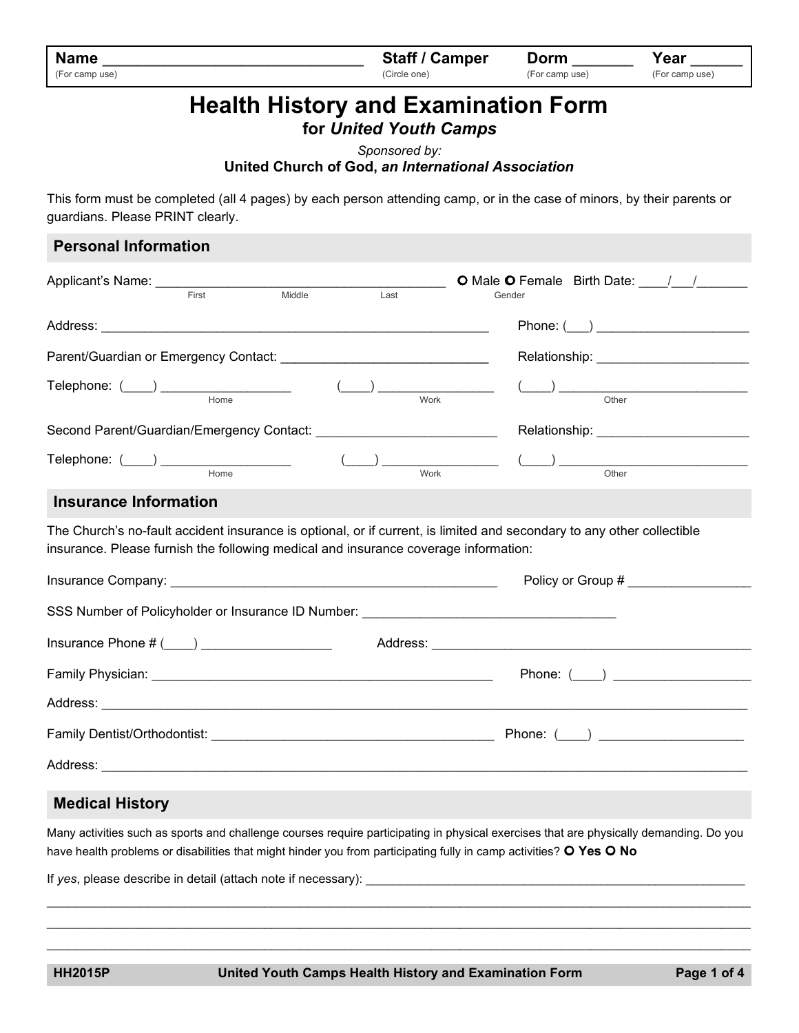| <b>Name</b>    | <b>Staff / Camper</b> | Dorm           | Year           |
|----------------|-----------------------|----------------|----------------|
| (For camp use) | (Circle one)          | (For camp use) | (For camp use) |

# **Health History and Examination Form**

**for** *United Youth Camps*

*Sponsored by:*

#### **United Church of God,** *an International Association*

This form must be completed (all 4 pages) by each person attending camp, or in the case of minors, by their parents or guardians. Please PRINT clearly.

| Gender                                                                                                                                                                                                                                                                                                                                                             |
|--------------------------------------------------------------------------------------------------------------------------------------------------------------------------------------------------------------------------------------------------------------------------------------------------------------------------------------------------------------------|
|                                                                                                                                                                                                                                                                                                                                                                    |
| Parent/Guardian or Emergency Contact: ___________________________________<br>Relationship: ________________________                                                                                                                                                                                                                                                |
| $\underbrace{\textbf{(}}$<br>$\frac{1}{\sqrt{1-\frac{1}{2}}}\frac{1}{\sqrt{1-\frac{1}{2}}\sqrt{1-\frac{1}{2}}\sqrt{1-\frac{1}{2}}}}$                                                                                                                                                                                                                               |
|                                                                                                                                                                                                                                                                                                                                                                    |
| $\begin{picture}(150,10) \put(0,0){\vector(1,0){100}} \put(15,0){\vector(1,0){100}} \put(15,0){\vector(1,0){100}} \put(15,0){\vector(1,0){100}} \put(15,0){\vector(1,0){100}} \put(15,0){\vector(1,0){100}} \put(15,0){\vector(1,0){100}} \put(15,0){\vector(1,0){100}} \put(15,0){\vector(1,0){100}} \put(15,0){\vector(1,0){100}} \put(15,0){\vector(1,0){100}}$ |
|                                                                                                                                                                                                                                                                                                                                                                    |
| The Church's no-fault accident insurance is optional, or if current, is limited and secondary to any other collectible<br>insurance. Please furnish the following medical and insurance coverage information:                                                                                                                                                      |
|                                                                                                                                                                                                                                                                                                                                                                    |
| SSS Number of Policyholder or Insurance ID Number: _____________________________                                                                                                                                                                                                                                                                                   |
|                                                                                                                                                                                                                                                                                                                                                                    |
|                                                                                                                                                                                                                                                                                                                                                                    |
|                                                                                                                                                                                                                                                                                                                                                                    |
|                                                                                                                                                                                                                                                                                                                                                                    |
|                                                                                                                                                                                                                                                                                                                                                                    |
|                                                                                                                                                                                                                                                                                                                                                                    |

## **Medical History**

Many activities such as sports and challenge courses require participating in physical exercises that are physically demanding. Do you have health problems or disabilities that might hinder you from participating fully in camp activities? **Yes No**

 $\mathcal{L}_\mathcal{L} = \{ \mathcal{L}_\mathcal{L} = \{ \mathcal{L}_\mathcal{L} = \{ \mathcal{L}_\mathcal{L} = \{ \mathcal{L}_\mathcal{L} = \{ \mathcal{L}_\mathcal{L} = \{ \mathcal{L}_\mathcal{L} = \{ \mathcal{L}_\mathcal{L} = \{ \mathcal{L}_\mathcal{L} = \{ \mathcal{L}_\mathcal{L} = \{ \mathcal{L}_\mathcal{L} = \{ \mathcal{L}_\mathcal{L} = \{ \mathcal{L}_\mathcal{L} = \{ \mathcal{L}_\mathcal{L} = \{ \mathcal{L}_\mathcal{$ \_\_\_\_\_\_\_\_\_\_\_\_\_\_\_\_\_\_\_\_\_\_\_\_\_\_\_\_\_\_\_\_\_\_\_\_\_\_\_\_\_\_\_\_\_\_\_\_\_\_\_\_\_\_\_\_\_\_\_\_\_\_\_\_\_\_\_\_\_\_\_\_\_\_\_\_\_\_\_\_\_\_\_\_\_\_\_\_\_\_\_\_\_\_\_\_\_  $\mathcal{L}_\mathcal{L} = \{ \mathcal{L}_\mathcal{L} = \{ \mathcal{L}_\mathcal{L} = \{ \mathcal{L}_\mathcal{L} = \{ \mathcal{L}_\mathcal{L} = \{ \mathcal{L}_\mathcal{L} = \{ \mathcal{L}_\mathcal{L} = \{ \mathcal{L}_\mathcal{L} = \{ \mathcal{L}_\mathcal{L} = \{ \mathcal{L}_\mathcal{L} = \{ \mathcal{L}_\mathcal{L} = \{ \mathcal{L}_\mathcal{L} = \{ \mathcal{L}_\mathcal{L} = \{ \mathcal{L}_\mathcal{L} = \{ \mathcal{L}_\mathcal{$ 

If yes, please describe in detail (attach note if necessary):

**HH2015P United Youth Camps Health History and Examination Form Page 1 of 4**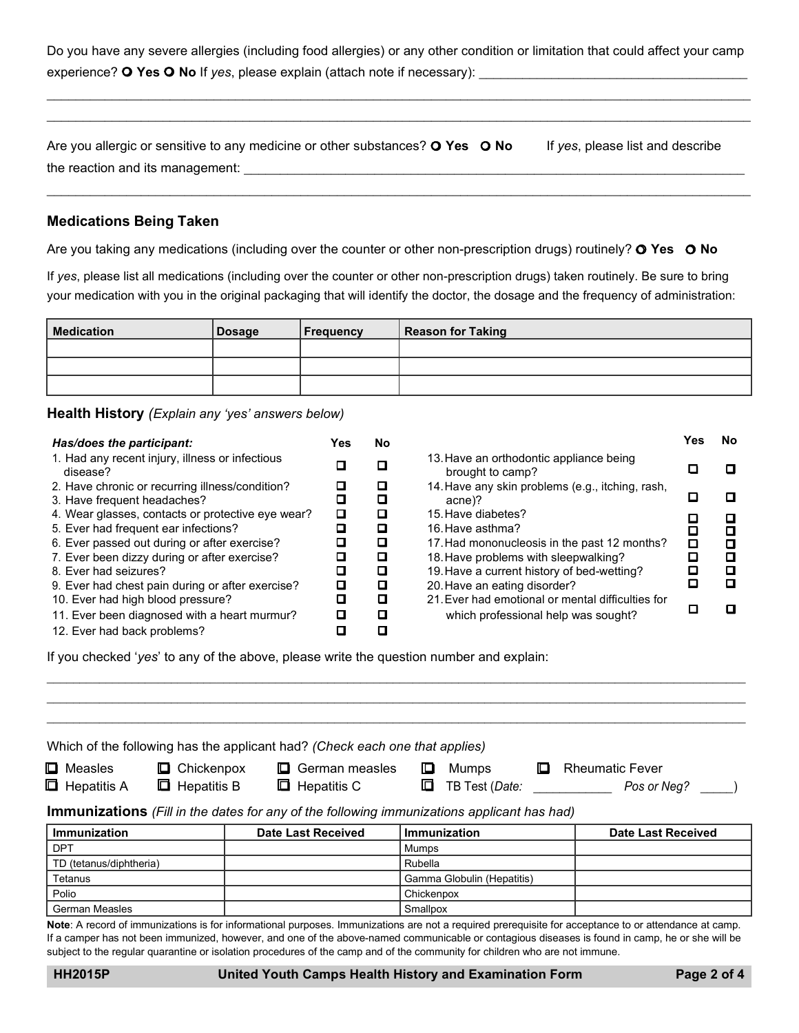Do you have any severe allergies (including food allergies) or any other condition or limitation that could affect your camp experience? **O Yes O No** If *yes*, please explain (attach note if necessary):

 $\mathcal{L}_\mathcal{L} = \{ \mathcal{L}_\mathcal{L} = \{ \mathcal{L}_\mathcal{L} = \{ \mathcal{L}_\mathcal{L} = \{ \mathcal{L}_\mathcal{L} = \{ \mathcal{L}_\mathcal{L} = \{ \mathcal{L}_\mathcal{L} = \{ \mathcal{L}_\mathcal{L} = \{ \mathcal{L}_\mathcal{L} = \{ \mathcal{L}_\mathcal{L} = \{ \mathcal{L}_\mathcal{L} = \{ \mathcal{L}_\mathcal{L} = \{ \mathcal{L}_\mathcal{L} = \{ \mathcal{L}_\mathcal{L} = \{ \mathcal{L}_\mathcal{$ \_\_\_\_\_\_\_\_\_\_\_\_\_\_\_\_\_\_\_\_\_\_\_\_\_\_\_\_\_\_\_\_\_\_\_\_\_\_\_\_\_\_\_\_\_\_\_\_\_\_\_\_\_\_\_\_\_\_\_\_\_\_\_\_\_\_\_\_\_\_\_\_\_\_\_\_\_\_\_\_\_\_\_\_\_\_\_\_\_\_\_\_\_\_\_\_\_

|                                  | Are you allergic or sensitive to any medicine or other substances? O Yes O No | If yes, please list and describe |
|----------------------------------|-------------------------------------------------------------------------------|----------------------------------|
| the reaction and its management: |                                                                               |                                  |

\_\_\_\_\_\_\_\_\_\_\_\_\_\_\_\_\_\_\_\_\_\_\_\_\_\_\_\_\_\_\_\_\_\_\_\_\_\_\_\_\_\_\_\_\_\_\_\_\_\_\_\_\_\_\_\_\_\_\_\_\_\_\_\_\_\_\_\_\_\_\_\_\_\_\_\_\_\_\_\_\_\_\_\_\_\_\_\_\_\_\_\_\_\_\_\_\_

#### **Medications Being Taken**

Are you taking any medications (including over the counter or other non-prescription drugs) routinely? **Yes No**

If *yes*, please list all medications (including over the counter or other non-prescription drugs) taken routinely. Be sure to bring your medication with you in the original packaging that will identify the doctor, the dosage and the frequency of administration:

| Medication | <b>Dosage</b> | <b>Frequency</b> | <b>Reason for Taking</b> |
|------------|---------------|------------------|--------------------------|
|            |               |                  |                          |
|            |               |                  |                          |
|            |               |                  |                          |

**Health History** *(Explain any 'yes' answers below)*

| Has/does the participant:                                                      | Yes | <b>No</b> |                                                             |   |
|--------------------------------------------------------------------------------|-----|-----------|-------------------------------------------------------------|---|
| 1. Had any recent injury, illness or infectious<br>disease?                    |     |           | 13. Have an orthodontic appliance being<br>brought to camp? |   |
| 2. Have chronic or recurring illness/condition?<br>3. Have frequent headaches? |     |           | 14. Have any skin problems (e.g., itching, rash,<br>acne)?  |   |
| 4. Wear glasses, contacts or protective eye wear?                              | ◻   |           | 15. Have diabetes?                                          |   |
| 5. Ever had frequent ear infections?                                           |     | О         | 16. Have asthma?                                            |   |
| 6. Ever passed out during or after exercise?                                   |     | О         | 17. Had mononucleosis in the past 12 months?                |   |
| 7. Ever been dizzy during or after exercise?                                   |     | О         | 18. Have problems with sleepwalking?                        |   |
| 8. Ever had seizures?                                                          |     | П         | 19. Have a current history of bed-wetting?                  | П |
| 9. Ever had chest pain during or after exercise?                               | О   | О         | 20. Have an eating disorder?                                |   |
| 10. Ever had high blood pressure?                                              |     | О         | 21. Ever had emotional or mental difficulties for           |   |
| 11. Ever been diagnosed with a heart murmur?                                   | О   | О         | which professional help was sought?                         |   |
| 12. Ever had back problems?                                                    |     |           |                                                             |   |

If you checked '*yes*' to any of the above, please write the question number and explain:

| $\Box$ Measles          | $\Box$ Chickenpox  | Which of the following has the applicant had? (Check each one that applies)<br>German measles<br>IQ. | 10         | Mumps                      | ш | <b>Rheumatic Fever</b>    |
|-------------------------|--------------------|------------------------------------------------------------------------------------------------------|------------|----------------------------|---|---------------------------|
| <b>E</b> Hepatitis A    | $\Box$ Hepatitis B | $\Box$ Hepatitis C                                                                                   | ⊡          | TB Test (Date:             |   | Pos or Neg?               |
|                         |                    |                                                                                                      |            |                            |   |                           |
|                         |                    | <b>Immunizations</b> (Fill in the dates for any of the following immunizations applicant has had)    |            |                            |   |                           |
| <b>Immunization</b>     |                    | <b>Date Last Received</b>                                                                            |            | <b>Immunization</b>        |   | <b>Date Last Received</b> |
| <b>DPT</b>              |                    |                                                                                                      | Mumps      |                            |   |                           |
| TD (tetanus/diphtheria) |                    |                                                                                                      | Rubella    |                            |   |                           |
| Tetanus                 |                    |                                                                                                      |            | Gamma Globulin (Hepatitis) |   |                           |
| Polio                   |                    |                                                                                                      | Chickenpox |                            |   |                           |

 $\ldots$  . The contribution of the contribution of the contribution of the contribution of the contribution of the contribution of the contribution of the contribution of the contribution of the contribution of the contribut  $\ldots$  . The contribution of the contribution of the contribution of the contribution of the contribution of the contribution of the contribution of the contribution of the contribution of the contribution of the contribut

**Note**: A record of immunizations is for informational purposes. Immunizations are not a required prerequisite for acceptance to or attendance at camp. If a camper has not been immunized, however, and one of the above-named communicable or contagious diseases is found in camp, he or she will be subject to the regular quarantine or isolation procedures of the camp and of the community for children who are not immune.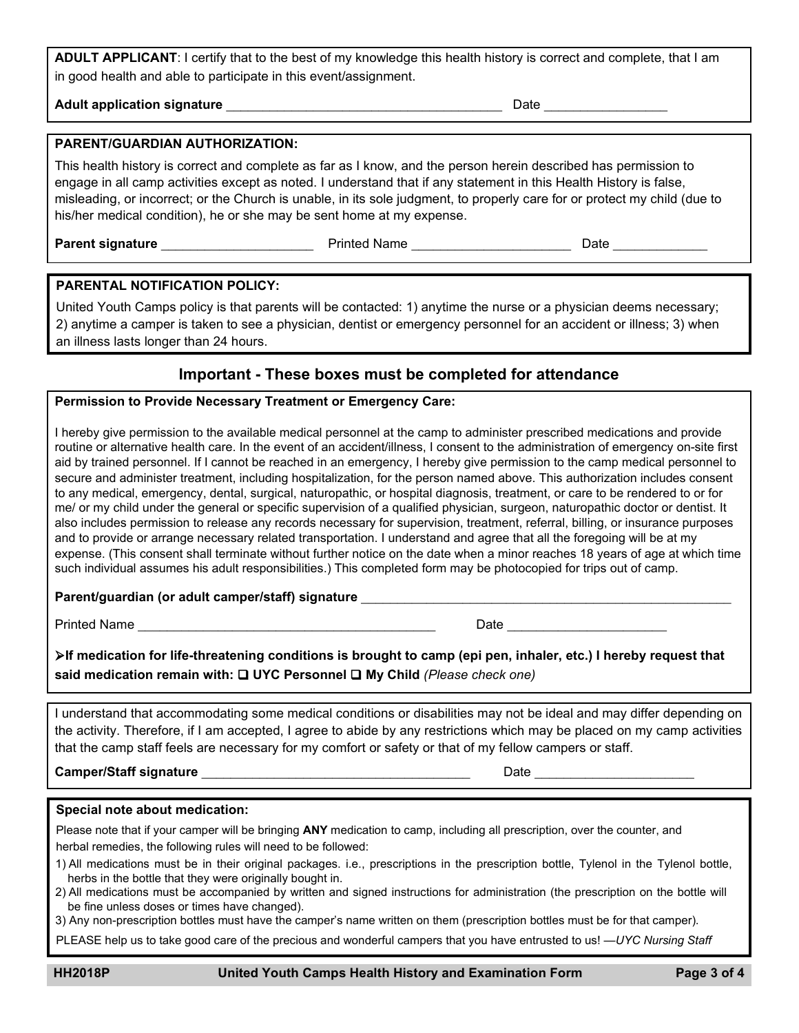**ADULT APPLICANT**: I certify that to the best of my knowledge this health history is correct and complete, that I am in good health and able to participate in this event/assignment.

**Adult application signature** \_\_\_\_\_\_\_\_\_\_\_\_\_\_\_\_\_\_\_\_\_\_\_\_\_\_\_\_\_\_\_\_\_\_\_\_\_\_Date \_\_\_\_\_\_\_\_\_\_\_\_\_\_\_\_\_

#### **PARENT/GUARDIAN AUTHORIZATION:**

This health history is correct and complete as far as I know, and the person herein described has permission to engage in all camp activities except as noted. I understand that if any statement in this Health History is false, misleading, or incorrect; or the Church is unable, in its sole judgment, to properly care for or protect my child (due to his/her medical condition), he or she may be sent home at my expense.

**Parent signature** \_\_\_\_\_\_\_\_\_\_\_\_\_\_\_\_\_\_\_\_\_Printed Name \_\_\_\_\_\_\_\_\_\_\_\_\_\_\_\_\_\_\_\_\_\_Date \_\_\_\_\_\_\_\_\_\_\_\_\_

#### **PARENTAL NOTIFICATION POLICY:**

United Youth Camps policy is that parents will be contacted: 1) anytime the nurse or a physician deems necessary; 2) anytime a camper is taken to see a physician, dentist or emergency personnel for an accident or illness; 3) when an illness lasts longer than 24 hours.

## **Important - These boxes must be completed for attendance**

### **Permission to Provide Necessary Treatment or Emergency Care:**

I hereby give permission to the available medical personnel at the camp to administer prescribed medications and provide routine or alternative health care. In the event of an accident/illness, I consent to the administration of emergency on-site first aid by trained personnel. If I cannot be reached in an emergency, I hereby give permission to the camp medical personnel to secure and administer treatment, including hospitalization, for the person named above. This authorization includes consent to any medical, emergency, dental, surgical, naturopathic, or hospital diagnosis, treatment, or care to be rendered to or for me/ or my child under the general or specific supervision of a qualified physician, surgeon, naturopathic doctor or dentist. It also includes permission to release any records necessary for supervision, treatment, referral, billing, or insurance purposes and to provide or arrange necessary related transportation. I understand and agree that all the foregoing will be at my expense. (This consent shall terminate without further notice on the date when a minor reaches 18 years of age at which time such individual assumes his adult responsibilities.) This completed form may be photocopied for trips out of camp.

#### **Parent/guardian (or adult camper/staff) signature** \_\_\_\_\_\_\_\_\_\_\_\_\_\_\_\_\_\_\_\_\_\_\_\_\_\_\_\_\_\_\_\_\_\_\_\_\_\_\_\_\_\_\_\_\_\_\_\_\_\_\_

Printed Name \_\_\_\_\_\_\_\_\_\_\_\_\_\_\_\_\_\_\_\_\_\_\_\_\_\_\_\_\_\_\_\_\_\_\_\_\_\_\_\_\_ Date \_\_\_\_\_\_\_\_\_\_\_\_\_\_\_\_\_\_\_\_\_\_

**If medication for life-threatening conditions is brought to camp (epi pen, inhaler, etc.) I hereby request that** said medication remain with: **□ UYC Personnel □ My Child** (Please check one)

I understand that accommodating some medical conditions or disabilities may not be ideal and may differ depending on the activity. Therefore, if I am accepted, I agree to abide by any restrictions which may be placed on my camp activities that the camp staff feels are necessary for my comfort or safety or that of my fellow campers or staff.

**Camper/Staff signature** \_\_\_\_\_\_\_\_\_\_\_\_\_\_\_\_\_\_\_\_\_\_\_\_\_\_\_\_\_\_\_\_\_\_\_\_\_ Date \_\_\_\_\_\_\_\_\_\_\_\_\_\_\_\_\_\_\_\_\_\_

#### **Special note about medication:**

Please note that if your camper will be bringing **ANY** medication to camp, including all prescription, over the counter, and herbal remedies, the following rules will need to be followed:

- 1) All medications must be in their original packages. i.e., prescriptions in the prescription bottle, Tylenol in the Tylenol bottle, herbs in the bottle that they were originally bought in.
- 2) All medications must be accompanied by written and signed instructions for administration (the prescription on the bottle will be fine unless doses or times have changed).
- 3) Any non-prescription bottles must have the camper's name written on them (prescription bottles must be for that camper).

PLEASE help us to take good care of the precious and wonderful campers that you have entrusted to us! —*UYC Nursing Staff*